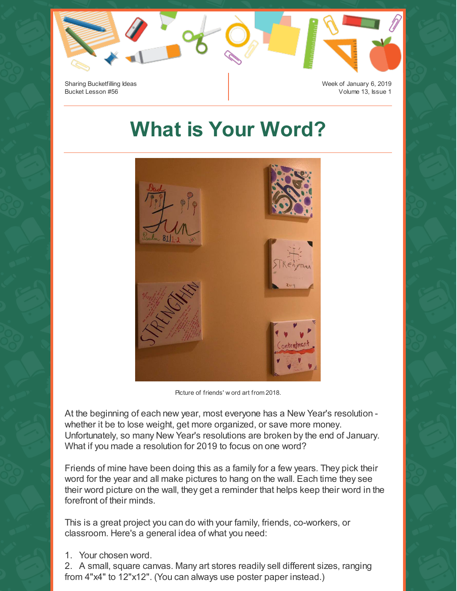

## **What is Your Word?**



Picture of friends' w ord art from 2018.

At the beginning of each new year, most everyone has a New Year's resolution whether it be to lose weight, get more organized, or save more money. Unfortunately, so many New Year's resolutions are broken by the end of January. What if you made a resolution for 2019 to focus on one word?

Friends of mine have been doing this as a family for a few years. They pick their word for the year and all make pictures to hang on the wall. Each time they see their word picture on the wall, they get a reminder that helps keep their word in the forefront of their minds.

This is a great project you can do with your family, friends, co-workers, or classroom. Here's a general idea of what you need:

1. Your chosen word.

2. A small, square canvas. Many art stores readily sell different sizes, ranging from 4"x4" to 12"x12". (You can always use poster paper instead.)